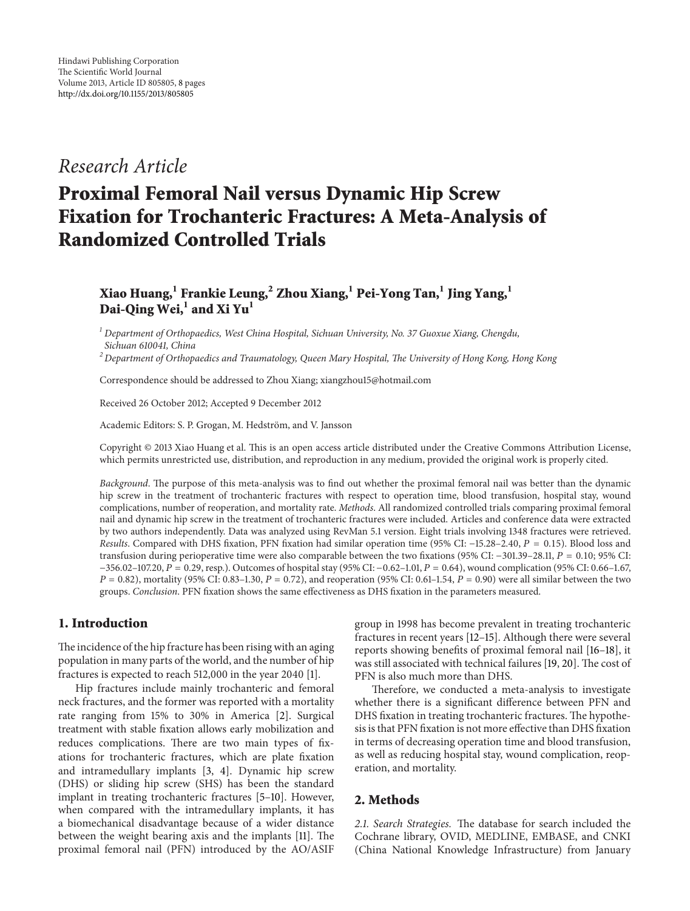## *Research Article*

# **Proximal Femoral Nail versus Dynamic Hip Screw Fixation for Trochanteric Fractures: A Meta-Analysis of Randomized Controlled Trials**

## **Xiao Huang,1 Frankie Leung,2 Zhou Xiang,<sup>1</sup> Pei-Yong Tan,<sup>1</sup> Jing Yang,1 Dai-Qing Wei,1 and Xi Yu<sup>1</sup>**

*<sup>1</sup> Department of Orthopaedics, West China Hospital, Sichuan University, No. 37 Guoxue Xiang, Chengdu, Sichuan 610041, China*

*<sup>2</sup> Department of Orthopaedics and Traumatology, Queen Mary Hospital, The University of Hong Kong, Hong Kong*

Correspondence should be addressed to Zhou Xiang; xiangzhou15@hotmail.com

Received 26 October 2012; Accepted 9 December 2012

Academic Editors: S. P. Grogan, M. Hedström, and V. Jansson

Copyright © 2013 Xiao Huang et al. This is an open access article distributed under the Creative Commons Attribution License, which permits unrestricted use, distribution, and reproduction in any medium, provided the original work is properly cited.

*Background*. The purpose of this meta-analysis was to find out whether the proximal femoral nail was better than the dynamic hip screw in the treatment of trochanteric fractures with respect to operation time, blood transfusion, hospital stay, wound complications, number of reoperation, and mortality rate. *Methods*. All randomized controlled trials comparing proximal femoral nail and dynamic hip screw in the treatment of trochanteric fractures were included. Articles and conference data were extracted by two authors independently. Data was analyzed using RevMan 5.1 version. Eight trials involving 1348 fractures were retrieved. *Results*. Compared with DHS fixation, PFN fixation had similar operation time (95% CI: −15.28–2.40, P = 0.15). Blood loss and transfusion during perioperative time were also comparable between the two fixations (95% CI: −301.39–28.11, P = 0.10; 95% CI: −356.02–107.20, = 0.29, resp.). Outcomes of hospital stay (95% CI: −0.62–1.01, = 0.64), wound complication (95% CI: 0.66–1.67,  $P = 0.82$ ), mortality (95% CI: 0.83–1.30,  $P = 0.72$ ), and reoperation (95% CI: 0.61–1.54,  $P = 0.90$ ) were all similar between the two groups. *Conclusion*. PFN fixation shows the same effectiveness as DHS fixation in the parameters measured.

## **1. Introduction**

The incidence of the hip fracture has been rising with an aging population in many parts of the world, and the number of hip fractures is expected to reach 512,000 in the year 2040 [\[1](#page-6-1)].

Hip fractures include mainly trochanteric and femoral neck fractures, and the former was reported with a mortality rate ranging from 15% to 30% in America [\[2\]](#page-6-2). Surgical treatment with stable fixation allows early mobilization and reduces complications. There are two main types of fixations for trochanteric fractures, which are plate fixation and intramedullary implants [\[3,](#page-6-3) [4](#page-6-4)]. Dynamic hip screw (DHS) or sliding hip screw (SHS) has been the standard implant in treating trochanteric fractures [\[5](#page-6-5)[–10\]](#page-6-6). However, when compared with the intramedullary implants, it has a biomechanical disadvantage because of a wider distance between the weight bearing axis and the implants [\[11\]](#page-6-7). The proximal femoral nail (PFN) introduced by the AO/ASIF

group in 1998 has become prevalent in treating trochanteric fractures in recent years [\[12](#page-6-8)[–15\]](#page-7-0). Although there were several reports showing benefits of proximal femoral nail [\[16](#page-7-1)[–18\]](#page-7-2), it was still associated with technical failures [\[19,](#page-7-3) [20](#page-7-4)]. The cost of PFN is also much more than DHS.

Therefore, we conducted a meta-analysis to investigate whether there is a significant difference between PFN and DHS fixation in treating trochanteric fractures. The hypothesis is that PFN fixation is not more effective than DHS fixation in terms of decreasing operation time and blood transfusion, as well as reducing hospital stay, wound complication, reoperation, and mortality.

## **2. Methods**

*2.1. Search Strategies.* The database for search included the Cochrane library, OVID, MEDLINE, EMBASE, and CNKI (China National Knowledge Infrastructure) from January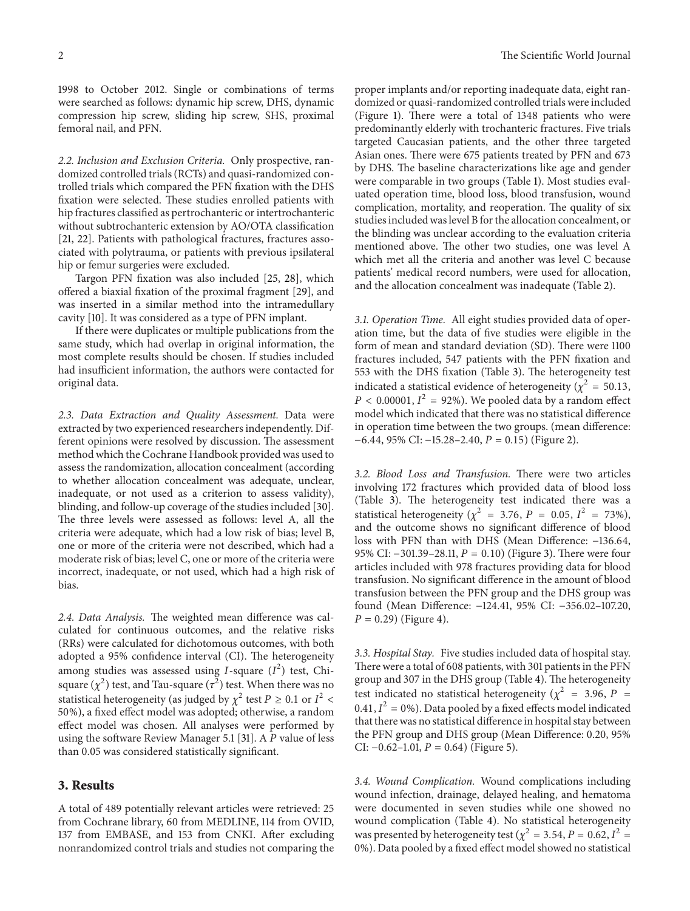1998 to October 2012. Single or combinations of terms were searched as follows: dynamic hip screw, DHS, dynamic compression hip screw, sliding hip screw, SHS, proximal femoral nail, and PFN.

*2.2. Inclusion and Exclusion Criteria.* Only prospective, randomized controlled trials (RCTs) and quasi-randomized controlled trials which compared the PFN fixation with the DHS fixation were selected. These studies enrolled patients with hip fractures classified as pertrochanteric or intertrochanteric without subtrochanteric extension by AO/OTA classification [\[21](#page-7-5), [22\]](#page-7-6). Patients with pathological fractures, fractures associated with polytrauma, or patients with previous ipsilateral hip or femur surgeries were excluded.

Targon PFN fixation was also included [\[25,](#page-7-7) [28](#page-7-8)], which offered a biaxial fixation of the proximal fragment [\[29](#page-7-9)], and was inserted in a similar method into the intramedullary cavity [\[10\]](#page-6-6). It was considered as a type of PFN implant.

If there were duplicates or multiple publications from the same study, which had overlap in original information, the most complete results should be chosen. If studies included had insufficient information, the authors were contacted for original data.

*2.3. Data Extraction and Quality Assessment.* Data were extracted by two experienced researchers independently. Different opinions were resolved by discussion. The assessment method which the Cochrane Handbook provided was used to assess the randomization, allocation concealment (according to whether allocation concealment was adequate, unclear, inadequate, or not used as a criterion to assess validity), blinding, and follow-up coverage of the studies included [\[30\]](#page-7-10). The three levels were assessed as follows: level A, all the criteria were adequate, which had a low risk of bias; level B, one or more of the criteria were not described, which had a moderate risk of bias; level C, one or more of the criteria were incorrect, inadequate, or not used, which had a high risk of bias.

*2.4. Data Analysis.* The weighted mean difference was calculated for continuous outcomes, and the relative risks (RRs) were calculated for dichotomous outcomes, with both adopted a 95% confidence interval (CI). The heterogeneity among studies was assessed using I-square  $(I^2)$  test, Chisquare  $(\chi^2)$  test, and Tau-square  $(\tau^2)$  test. When there was no statistical heterogeneity (as judged by  $\chi^2$  test  $P \ge 0.1$  or  $I^2$  < 50%), a fixed effect model was adopted; otherwise, a random effect model was chosen. All analyses were performed by using the software Review Manager 5.1 [\[31\]](#page-7-11). A P value of less than 0.05 was considered statistically significant.

## **3. Results**

A total of 489 potentially relevant articles were retrieved: 25 from Cochrane library, 60 from MEDLINE, 114 from OVID, 137 from EMBASE, and 153 from CNKI. After excluding nonrandomized control trials and studies not comparing the proper implants and/or reporting inadequate data, eight randomized or quasi-randomized controlled trials were included (Figure [1\)](#page-3-0). There were a total of 1348 patients who were predominantly elderly with trochanteric fractures. Five trials targeted Caucasian patients, and the other three targeted Asian ones. There were 675 patients treated by PFN and 673 by DHS. The baseline characterizations like age and gender were comparable in two groups (Table [1\)](#page-2-0). Most studies evaluated operation time, blood loss, blood transfusion, wound complication, mortality, and reoperation. The quality of six studies included was level B for the allocation concealment, or the blinding was unclear according to the evaluation criteria mentioned above. The other two studies, one was level A which met all the criteria and another was level C because patients' medical record numbers, were used for allocation, and the allocation concealment was inadequate (Table [2\)](#page-2-1).

*3.1. Operation Time.* All eight studies provided data of operation time, but the data of five studies were eligible in the form of mean and standard deviation (SD). There were 1100 fractures included, 547 patients with the PFN fixation and 553 with the DHS fixation (Table [3\)](#page-2-2). The heterogeneity test indicated a statistical evidence of heterogeneity ( $\chi^2$  = 50.13,  $P < 0.00001$ ,  $I^2 = 92\%$ ). We pooled data by a random effect model which indicated that there was no statistical difference in operation time between the two groups. (mean difference:  $-6.44$ , 95% CI:  $-15.28-2.40$ ,  $P = 0.15$ ) (Figure [2\)](#page-3-1).

*3.2. Blood Loss and Transfusion.* There were two articles involving 172 fractures which provided data of blood loss (Table [3\)](#page-2-2). The heterogeneity test indicated there was a statistical heterogeneity ( $\chi^2$  = 3.76, P = 0.05,  $I^2$  = 73%), and the outcome shows no significant difference of blood loss with PFN than with DHS (Mean Difference: −136.64, 95% CI:  $-301.39-28.11$ ,  $P = 0.10$ ) (Figure [3\)](#page-3-2). There were four articles included with 978 fractures providing data for blood transfusion. No significant difference in the amount of blood transfusion between the PFN group and the DHS group was found (Mean Difference: −124.41, 95% CI: −356.02–107.20,  $P = 0.29$  (Figure [4\)](#page-4-0).

*3.3. Hospital Stay.* Five studies included data of hospital stay. There were a total of 608 patients, with 301 patients in the PFN group and 307 in the DHS group (Table [4\)](#page-2-3). The heterogeneity test indicated no statistical heterogeneity ( $\chi^2$  = 3.96, P = 0.41,  $I^2 = 0$ %). Data pooled by a fixed effects model indicated that there was no statistical difference in hospital stay between the PFN group and DHS group (Mean Difference: 0.20, 95% CI:  $-0.62-1.01$ ,  $P = 0.64$ ) (Figure [5\)](#page-4-1).

*3.4. Wound Complication.* Wound complications including wound infection, drainage, delayed healing, and hematoma were documented in seven studies while one showed no wound complication (Table [4\)](#page-2-3). No statistical heterogeneity was presented by heterogeneity test ( $\chi^2 = 3.54$ ,  $P = 0.62$ ,  $I^2 =$ 0%). Data pooled by a fixed effect model showed no statistical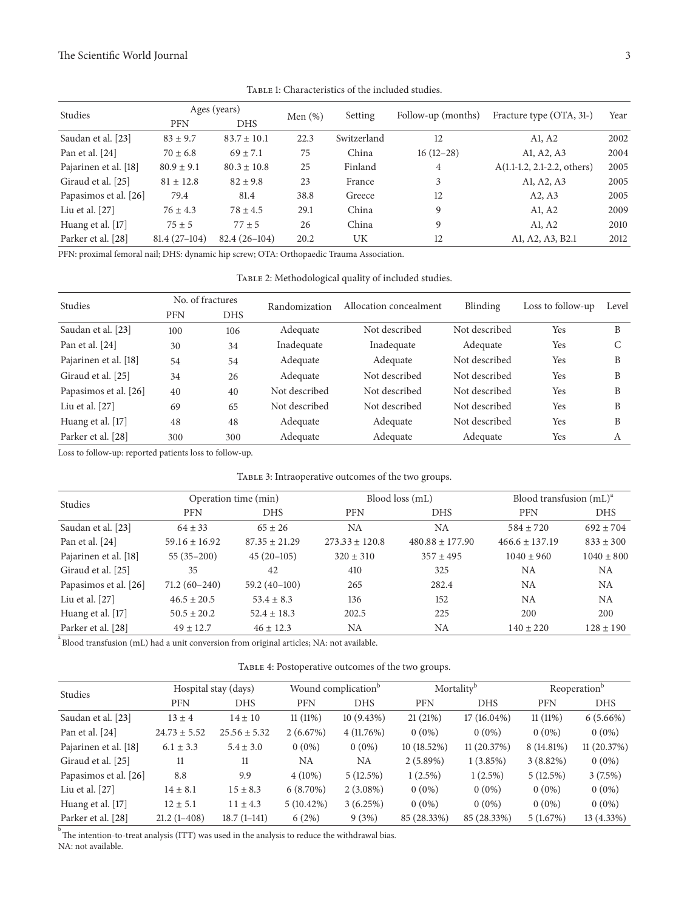| Studies               |                          | Ages (years)    | Men $(\%)$ | Setting     | Follow-up (months) | Fracture type (OTA, 31-)      | Year |
|-----------------------|--------------------------|-----------------|------------|-------------|--------------------|-------------------------------|------|
|                       | <b>DHS</b><br><b>PFN</b> |                 |            |             |                    |                               |      |
| Saudan et al. [23]    | $83 \pm 9.7$             | $83.7 \pm 10.1$ | 22.3       | Switzerland | 12                 | A1, A2                        | 2002 |
| Pan et al. [24]       | $70 \pm 6.8$             | $69 + 7.1$      | 75         | China       | $16(12-28)$        | A1, A2, A3                    | 2004 |
| Pajarinen et al. [18] | $80.9 \pm 9.1$           | $80.3 \pm 10.8$ | 25         | Finland     | 4                  | $A(1.1-1.2, 2.1-2.2, others)$ | 2005 |
| Giraud et al. [25]    | $81 \pm 12.8$            | $82 \pm 9.8$    | 23         | France      | 3                  | A1, A2, A3                    | 2005 |
| Papasimos et al. [26] | 79.4                     | 81.4            | 38.8       | Greece      | 12                 | A2, A3                        | 2005 |
| Liu et al. $[27]$     | $76 \pm 4.3$             | $78 \pm 4.5$    | 29.1       | China       | 9                  | Al, $A2$                      | 2009 |
| Huang et al. [17]     | $75 \pm 5$               | $77 + 5$        | 26         | China       | 9                  | A1, A2                        | 2010 |
| Parker et al. [28]    | $81.4(27-104)$           | $82.4(26-104)$  | 20.2       | UK          | 12                 | A1, A2, A3, B2.1              | 2012 |

<span id="page-2-0"></span>TABLE 1: Characteristics of the included studies.

PFN: proximal femoral nail; DHS: dynamic hip screw; OTA: Orthopaedic Trauma Association.

<span id="page-2-1"></span>TABLE 2: Methodological quality of included studies.

| Studies               |            | No. of fractures | Randomization | Allocation concealment | Blinding      | Loss to follow-up | Level |
|-----------------------|------------|------------------|---------------|------------------------|---------------|-------------------|-------|
|                       | <b>PFN</b> | <b>DHS</b>       |               |                        |               |                   |       |
| Saudan et al. [23]    | 100        | 106              | Adequate      | Not described          | Not described | Yes               | В     |
| Pan et al. [24]       | 30         | 34               | Inadequate    | Inadequate             | Adequate      | Yes               |       |
| Pajarinen et al. [18] | 54         | 54               | Adequate      | Adequate               | Not described | Yes               | В     |
| Giraud et al. [25]    | 34         | 26               | Adequate      | Not described          | Not described | Yes               | В     |
| Papasimos et al. [26] | 40         | 40               | Not described | Not described          | Not described | Yes               | В     |
| Liu et al. $[27]$     | 69         | 65               | Not described | Not described          | Not described | Yes               | B     |
| Huang et al. [17]     | 48         | 48               | Adequate      | Adequate               | Not described | Yes               | В     |
| Parker et al. [28]    | 300        | 300              | Adequate      | Adequate               | Adequate      | Yes               | A     |

Loss to follow-up: reported patients loss to follow-up.

<span id="page-2-2"></span>TABLE 3: Intraoperative outcomes of the two groups.

| Studies               |                   | Operation time (min) |                    | Blood loss (mL)   | Blood transfusion $(mL)^a$ |                |  |
|-----------------------|-------------------|----------------------|--------------------|-------------------|----------------------------|----------------|--|
|                       | <b>PFN</b>        | <b>DHS</b>           | <b>PFN</b>         | <b>DHS</b>        | <b>PFN</b>                 | <b>DHS</b>     |  |
| Saudan et al. [23]    | $64 + 33$         | $65 + 26$            | NA                 | NA                | $584 + 720$                | $692 \pm 704$  |  |
| Pan et al. [24]       | $59.16 \pm 16.92$ | $87.35 \pm 21.29$    | $273.33 \pm 120.8$ | $480.88 + 177.90$ | $466.6 + 137.19$           | $833 \pm 300$  |  |
| Pajarinen et al. [18] | $55(35-200)$      | $45(20-105)$         | $320 \pm 310$      | $357 + 495$       | $1040 + 960$               | $1040 \pm 800$ |  |
| Giraud et al. [25]    | 35                | 42                   | 410                | 325               | <b>NA</b>                  | NA.            |  |
| Papasimos et al. [26] | $71.2(60-240)$    | $59.2(40-100)$       | 265                | 282.4             | <b>NA</b>                  | NA.            |  |
| Liu et al. $[27]$     | $46.5 \pm 20.5$   | $53.4 \pm 8.3$       | 136                | 152               | <b>NA</b>                  | <b>NA</b>      |  |
| Huang et al. [17]     | $50.5 \pm 20.2$   | $52.4 \pm 18.3$      | 202.5              | 225               | 200                        | 200            |  |
| Parker et al. [28]    | $49 \pm 12.7$     | $46 \pm 12.3$        | NA                 | NA                | $140 \pm 220$              | $128 \pm 190$  |  |

a<br>Blood transfusion (mL) had a unit conversion from original articles; NA: not available.

<span id="page-2-3"></span>TABLE 4: Postoperative outcomes of the two groups.

| Studies               |                  | Hospital stay (days) |              | Wound complication <sup>b</sup> |             | Mortality <sup>b</sup> | Reoperation <sup>b</sup> |              |
|-----------------------|------------------|----------------------|--------------|---------------------------------|-------------|------------------------|--------------------------|--------------|
|                       | <b>PFN</b>       | <b>DHS</b>           | <b>PFN</b>   | <b>DHS</b>                      | <b>PFN</b>  | <b>DHS</b>             | <b>PFN</b>               | <b>DHS</b>   |
| Saudan et al. [23]    | $13 \pm 4$       | $14 \pm 10$          | $11(11\%)$   | $10(9.43\%)$                    | 21(21%)     | $17(16.04\%)$          | $11(11\%)$               | $6(5.66\%)$  |
| Pan et al. [24]       | $24.73 \pm 5.52$ | $25.56 \pm 5.32$     | 2(6.67%)     | 4(11.76%)                       | $0(0\%)$    | $0(0\%)$               | $0(0\%)$                 | $0(0\%)$     |
| Pajarinen et al. [18] | $6.1 \pm 3.3$    | $5.4 \pm 3.0$        | $0(0\%)$     | $0(0\%)$                        | 10 (18.52%) | 11(20.37%)             | 8 (14.81%)               | 11(20.37%)   |
| Giraud et al. [25]    | -11              | 11                   | NA.          | NA                              | 2(5.89%)    | $1(3.85\%)$            | $3(8.82\%)$              | $0(0\%)$     |
| Papasimos et al. [26] | 8.8              | 9.9                  | $4(10\%)$    | 5(12.5%)                        | $1(2.5\%)$  | $1(2.5\%)$             | 5(12.5%)                 | $3(7.5\%)$   |
| Liu et al. [27]       | $14 \pm 8.1$     | $15 \pm 8.3$         | $6(8.70\%)$  | $2(3.08\%)$                     | $0(0\%)$    | $0(0\%)$               | $0(0\%)$                 | $0(0\%)$     |
| Huang et al. [17]     | $12 \pm 5.1$     | $11 \pm 4.3$         | $5(10.42\%)$ | 3(6.25%)                        | $0(0\%)$    | $0(0\%)$               | $0(0\%)$                 | $0(0\%)$     |
| Parker et al. [28]    | $21.2(1-408)$    | $18.7(1-141)$        | 6(2%)        | 9(3%)                           | 85 (28.33%) | 85 (28.33%)            | 5(1.67%)                 | $13(4.33\%)$ |

 $^{\rm b}$  The intention-to-treat analysis (ITT) was used in the analysis to reduce the withdrawal bias. NA: not available.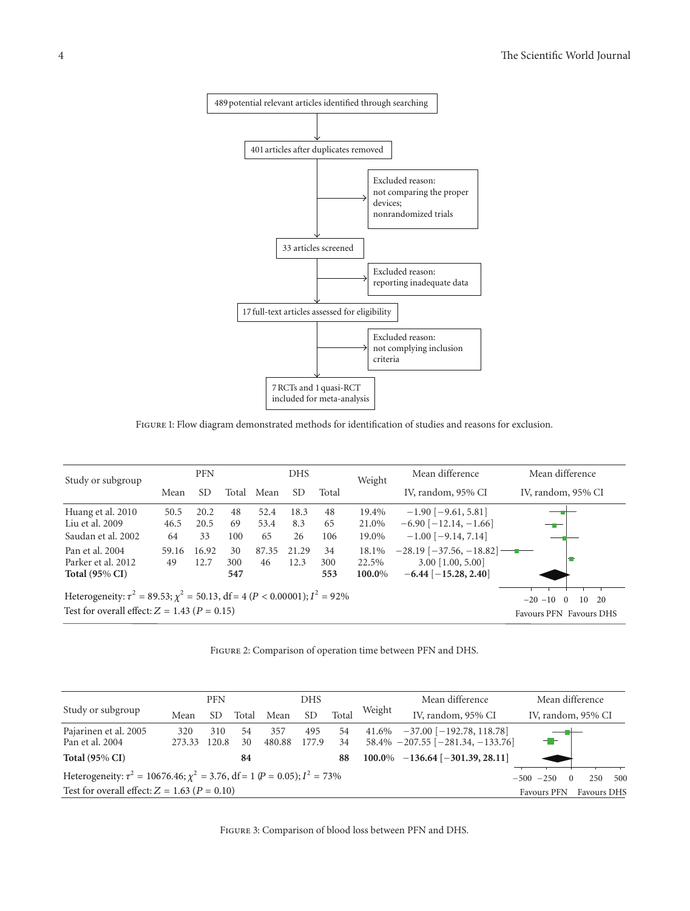

<span id="page-3-0"></span>Figure 1: Flow diagram demonstrated methods for identification of studies and reasons for exclusion.

| Study or subgroup                                                                                                                                  |       | <b>PFN</b> |       | <b>DHS</b> |       |       | Weight | Mean difference                      | Mean difference                                       |
|----------------------------------------------------------------------------------------------------------------------------------------------------|-------|------------|-------|------------|-------|-------|--------|--------------------------------------|-------------------------------------------------------|
|                                                                                                                                                    | Mean  | SD.        | Total | Mean       | SD    | Total |        | IV, random, 95% CI                   | IV, random, 95% CI                                    |
| Huang et al. 2010                                                                                                                                  | 50.5  | 20.2       | 48    | 52.4       | 18.3  | 48    | 19.4%  | $-1.90$ [ $-9.61, 5.81$ ]            |                                                       |
| Liu et al. 2009                                                                                                                                    | 46.5  | 20.5       | 69    | 53.4       | 8.3   | 65    | 21.0%  | $-6.90$ [ $-12.14$ , $-1.66$ ]       |                                                       |
| Saudan et al. 2002                                                                                                                                 | 64    | 33         | 100   | 65         | 26    | 106   | 19.0%  | $-1.00$ [ $-9.14$ , 7.14]            |                                                       |
| Pan et al. 2004                                                                                                                                    | 59.16 | 16.92      | 30    | 87.35      | 21.29 | 34    | 18.1%  | $-28.19$ [ $-37.56$ , $-18.82$ ] $-$ |                                                       |
| Parker et al. 2012                                                                                                                                 | 49    | 12.7       | 300   | 46         | 12.3  | 300   | 22.5%  | $3.00$ [1.00, 5.00]                  |                                                       |
| Total $(95\% \text{ CI})$                                                                                                                          |       |            | 547   |            |       | 553   | 100.0% | $-6.44$ [-15.28, 2.40]               |                                                       |
| Heterogeneity: $\tau^2$ = 89.53; $\chi^2$ = 50.13, df = 4 ( <i>P</i> < 0.00001); $I^2$ = 92%<br>Test for overall effect: $Z = 1.43$ ( $P = 0.15$ ) |       |            |       |            |       |       |        |                                      | $-20 - 10 = 0$<br>10<br>20<br>Favours PFN Favours DHS |
|                                                                                                                                                    |       |            |       |            |       |       |        |                                      |                                                       |

<span id="page-3-1"></span>Figure 2: Comparison of operation time between PFN and DHS.

|                                                                                        |        | <b>PFN</b> |       |        | <b>DHS</b> |       |        | Mean difference                    | Mean difference    |                    |
|----------------------------------------------------------------------------------------|--------|------------|-------|--------|------------|-------|--------|------------------------------------|--------------------|--------------------|
| Study or subgroup                                                                      | Mean   | SD.        | Total | Mean   | <b>SD</b>  | Total | Weight | IV, random, 95% CI                 | IV, random, 95% CI |                    |
| Pajarinen et al. 2005                                                                  | 320    | 310        | 54    | 357    | 495        | 54    |        | $41.6\% -37.00$ [-192.78, 118.78]  |                    |                    |
| Pan et al. 2004                                                                        | 273.33 | 120.8      | 30    | 480.88 | 177.9      | 34    |        | $58.4\% -207.55[-281.34, -133.76]$ | - -                |                    |
| <b>Total (95% CI)</b>                                                                  |        |            | 84    |        |            | 88    |        | $100.0\% -136.64[-301.39, 28.11]$  |                    |                    |
| Heterogeneity: $\tau^2 = 10676.46$ ; $\chi^2 = 3.76$ , df = 1 (P = 0.05); $I^2 = 73\%$ |        |            |       |        |            |       |        |                                    | $-500 - 250$       | 500<br>250         |
| Test for overall effect: $Z = 1.63$ ( $P = 0.10$ )                                     |        |            |       |        |            |       |        |                                    | <b>Favours PFN</b> | <b>Favours DHS</b> |

<span id="page-3-2"></span>Figure 3: Comparison of blood loss between PFN and DHS.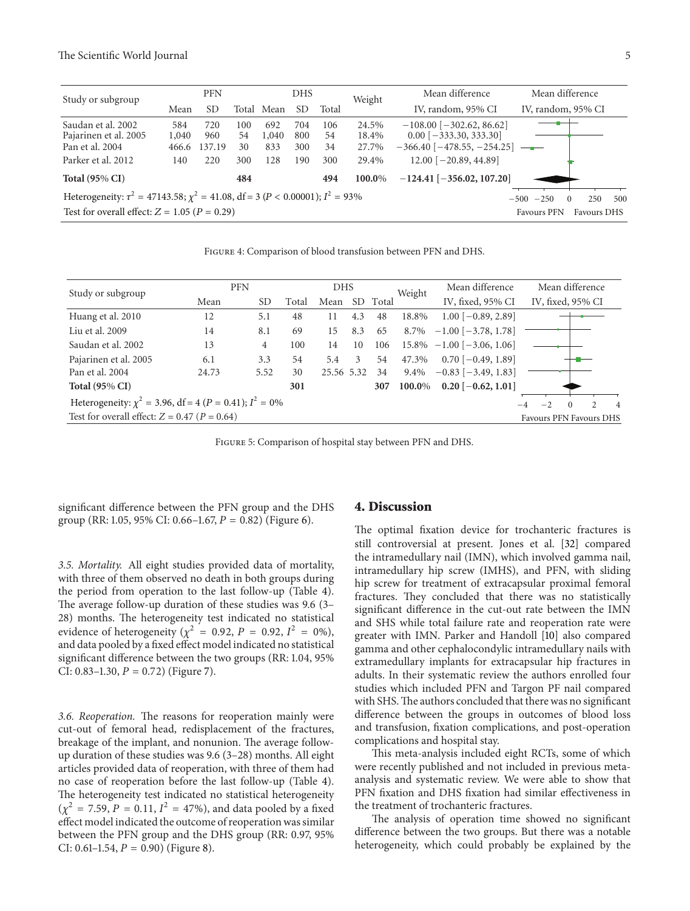| Study or subgroup                                                                                                                                |                              | <b>PFN</b>                  |                        | <b>DHS</b>                 |                          |                        | Weight                           | Mean difference                                                                                                               | Mean difference                                                                 |
|--------------------------------------------------------------------------------------------------------------------------------------------------|------------------------------|-----------------------------|------------------------|----------------------------|--------------------------|------------------------|----------------------------------|-------------------------------------------------------------------------------------------------------------------------------|---------------------------------------------------------------------------------|
|                                                                                                                                                  | Mean                         | <sub>SD</sub>               | Total                  | Mean                       | <b>SD</b>                | Total                  |                                  | IV, random, 95% CI                                                                                                            | IV, random, 95% CI                                                              |
| Saudan et al. 2002<br>Pajarinen et al. 2005<br>Pan et al. 2004<br>Parker et al. 2012                                                             | 584<br>1,040<br>466.6<br>140 | 720<br>960<br>137.19<br>220 | 100<br>54<br>30<br>300 | 692<br>1,040<br>833<br>128 | 704<br>800<br>300<br>190 | 106<br>54<br>34<br>300 | 24.5%<br>18.4%<br>27.7%<br>29.4% | $-108.00$ [ $-302.62$ , 86.62]<br>$0.00$ [-333.30, 333.30]<br>$-366.40$ [ $-478.55, -254.25$ ] $-$<br>$12.00$ [-20.89, 44.89] |                                                                                 |
| Total $(95\% \text{ CI})$                                                                                                                        |                              |                             | 484                    |                            |                          | 494                    | 100.0%                           | $-124.41$ [ $-356.02$ , 107.20]                                                                                               |                                                                                 |
| Heterogeneity: $\tau^2 = 47143.58$ ; $\chi^2 = 41.08$ , df = 3 (P < 0.00001); $I^2 = 93\%$<br>Test for overall effect: $Z = 1.05$ ( $P = 0.29$ ) |                              |                             |                        |                            |                          |                        |                                  |                                                                                                                               | 500<br>$-250$<br>250<br>$-500$<br>0<br><b>Favours PFN</b><br><b>Favours DHS</b> |

<span id="page-4-0"></span>Figure 4: Comparison of blood transfusion between PFN and DHS.

| Study or subgroup                                             |       | <b>PFN</b>    |       | <b>DHS</b> |     |       | Weight | Mean difference              |                                | Mean difference |   |
|---------------------------------------------------------------|-------|---------------|-------|------------|-----|-------|--------|------------------------------|--------------------------------|-----------------|---|
|                                                               | Mean  | <sub>SD</sub> | Total | Mean       | SD. | Total |        | IV, fixed, 95% CI            | IV, fixed, 95% CI              |                 |   |
| Huang et al. 2010                                             | 12    | 5.1           | 48    | 11         | 4.3 | 48    | 18.8%  | $1.00$ [-0.89, 2.89]         |                                |                 |   |
| Liu et al. 2009                                               | 14    | 8.1           | 69    | 15         | 8.3 | 65    |        | $8.7\% -1.00 [-3.78, 1.78]$  |                                |                 |   |
| Saudan et al. 2002                                            | 13    | 4             | 100   | 14         | 10  | 106   |        | $15.8\% -1.00$ [-3.06, 1.06] |                                |                 |   |
| Pajarinen et al. 2005                                         | 6.1   | 3.3           | 54    | 5.4        | 3   | 54    | 47.3%  | $0.70$ [-0.49, 1.89]         |                                |                 |   |
| Pan et al. 2004                                               | 24.73 | 5.52          | 30    | 25.56 5.32 |     | 34    | 9.4%   | $-0.83$ [ $-3.49$ , 1.83]    |                                |                 |   |
| <b>Total (95% CI)</b>                                         |       |               | 301   |            |     | 307   | 100.0% | $0.20$ [-0.62, 1.01]         |                                |                 |   |
| Heterogeneity: $\chi^2$ = 3.96, df = 4 (P = 0.41); $I^2$ = 0% |       |               |       |            |     |       |        |                              | $-4$                           | $\Omega$        | 4 |
| Test for overall effect: $Z = 0.47$ ( $P = 0.64$ )            |       |               |       |            |     |       |        |                              | <b>Favours PFN Favours DHS</b> |                 |   |

<span id="page-4-1"></span>Figure 5: Comparison of hospital stay between PFN and DHS.

significant difference between the PFN group and the DHS group (RR: 1.05, 95% CI: 0.66–1.67,  $P = 0.82$ ) (Figure [6\)](#page-5-0).

*3.5. Mortality.* All eight studies provided data of mortality, with three of them observed no death in both groups during the period from operation to the last follow-up (Table [4\)](#page-2-3). The average follow-up duration of these studies was 9.6 (3– 28) months. The heterogeneity test indicated no statistical evidence of heterogeneity ( $\chi^2 = 0.92$ ,  $P = 0.92$ ,  $I^2 = 0\%$ ), and data pooled by a fixed effect model indicated no statistical significant difference between the two groups (RR: 1.04, 95% CI: 0.83–1.30,  $P = 0.72$ ) (Figure [7\)](#page-5-1).

*3.6. Reoperation.* The reasons for reoperation mainly were cut-out of femoral head, redisplacement of the fractures, breakage of the implant, and nonunion. The average followup duration of these studies was 9.6 (3–28) months. All eight articles provided data of reoperation, with three of them had no case of reoperation before the last follow-up (Table [4\)](#page-2-3). The heterogeneity test indicated no statistical heterogeneity  $(\chi^2 = 7.59, P = 0.11, I^2 = 47\%)$ , and data pooled by a fixed effect model indicated the outcome of reoperation was similar between the PFN group and the DHS group (RR: 0.97, 95% CI: 0.61-1.54,  $P = 0.90$ ) (Figure [8\)](#page-5-2).

#### **4. Discussion**

The optimal fixation device for trochanteric fractures is still controversial at present. Jones et al. [\[32](#page-7-17)] compared the intramedullary nail (IMN), which involved gamma nail, intramedullary hip screw (IMHS), and PFN, with sliding hip screw for treatment of extracapsular proximal femoral fractures. They concluded that there was no statistically significant difference in the cut-out rate between the IMN and SHS while total failure rate and reoperation rate were greater with IMN. Parker and Handoll [\[10\]](#page-6-6) also compared gamma and other cephalocondylic intramedullary nails with extramedullary implants for extracapsular hip fractures in adults. In their systematic review the authors enrolled four studies which included PFN and Targon PF nail compared with SHS.The authors concluded that there was no significant difference between the groups in outcomes of blood loss and transfusion, fixation complications, and post-operation complications and hospital stay.

This meta-analysis included eight RCTs, some of which were recently published and not included in previous metaanalysis and systematic review. We were able to show that PFN fixation and DHS fixation had similar effectiveness in the treatment of trochanteric fractures.

The analysis of operation time showed no significant difference between the two groups. But there was a notable heterogeneity, which could probably be explained by the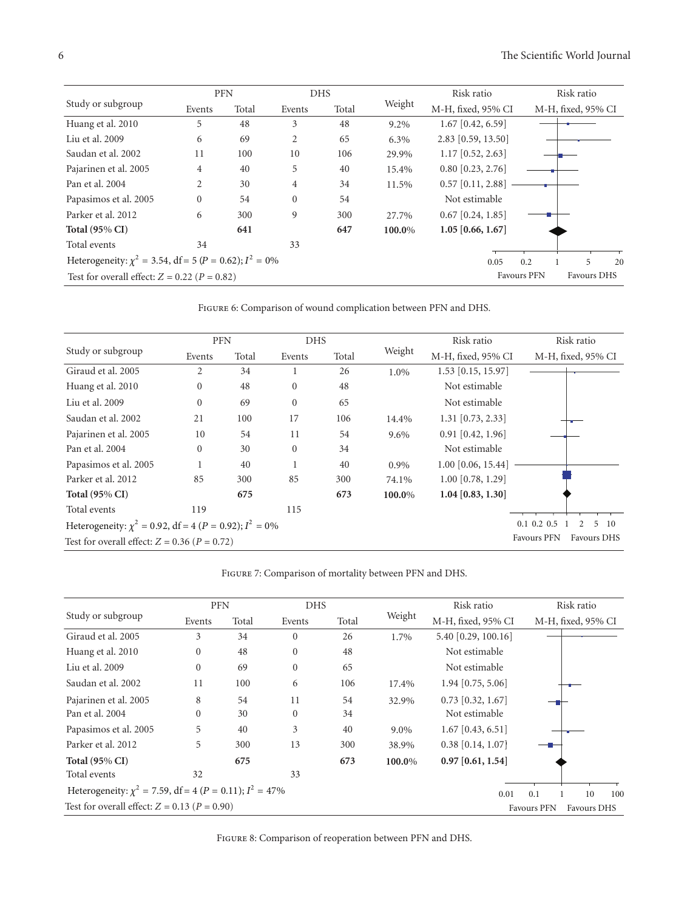|                                                               |                | <b>PFN</b> |                | <b>DHS</b> |        | Risk ratio          |                    | Risk ratio         |    |
|---------------------------------------------------------------|----------------|------------|----------------|------------|--------|---------------------|--------------------|--------------------|----|
| Study or subgroup                                             | Events         | Total      | Events         | Total      | Weight | M-H, fixed, 95% CI  |                    | M-H, fixed, 95% CI |    |
| Huang et al. 2010                                             | 5              | 48         | 3              | 48         | 9.2%   | $1.67$ [0.42, 6.59] |                    |                    |    |
| Liu et al. 2009                                               | 6              | 69         | 2              | 65         | 6.3%   | 2.83 [0.59, 13.50]  |                    |                    |    |
| Saudan et al. 2002                                            | 11             | 100        | 10             | 106        | 29.9%  | $1.17$ [0.52, 2.63] |                    |                    |    |
| Pajarinen et al. 2005                                         | $\overline{4}$ | 40         | 5              | 40         | 15.4%  | $0.80$ [0.23, 2.76] |                    |                    |    |
| Pan et al. 2004                                               | 2              | 30         | 4              | 34         | 11.5%  | $0.57$ [0.11, 2.88] |                    |                    |    |
| Papasimos et al. 2005                                         | $\Omega$       | 54         | $\overline{0}$ | 54         |        | Not estimable       |                    |                    |    |
| Parker et al. 2012                                            | 6              | 300        | 9              | 300        | 27.7%  | $0.67$ [0.24, 1.85] |                    |                    |    |
| <b>Total (95% CI)</b>                                         |                | 641        |                | 647        | 100.0% | $1.05$ [0.66, 1.67] |                    |                    |    |
| Total events                                                  | 34             |            | 33             |            |        |                     |                    |                    |    |
| Heterogeneity: $\chi^2$ = 3.54, df = 5 (P = 0.62); $I^2$ = 0% |                |            |                |            |        | 0.05                | 0.2                | 5                  | 20 |
| Test for overall effect: $Z = 0.22$ ( $P = 0.82$ )            |                |            |                |            |        |                     | <b>Favours PFN</b> | <b>Favours DHS</b> |    |

<span id="page-5-0"></span>Figure 6: Comparison of wound complication between PFN and DHS.

|                                                                 | <b>PFN</b>   |       | <b>DHS</b>     |       |         | Risk ratio             | Risk ratio                                 |
|-----------------------------------------------------------------|--------------|-------|----------------|-------|---------|------------------------|--------------------------------------------|
| Study or subgroup                                               | Events       | Total | Events         | Total | Weight  | M-H, fixed, 95% CI     | M-H, fixed, 95% CI                         |
| Giraud et al. 2005                                              | 2            | 34    |                | 26    | 1.0%    | $1.53$ [0.15, 15.97]   |                                            |
| Huang et al. 2010                                               | $\mathbf{0}$ | 48    | $\overline{0}$ | 48    |         | Not estimable          |                                            |
| Liu et al. 2009                                                 | $\mathbf{0}$ | 69    | $\overline{0}$ | 65    |         | Not estimable          |                                            |
| Saudan et al. 2002                                              | 21           | 100   | 17             | 106   | 14.4%   | $1.31$ [0.73, 2.33]    |                                            |
| Pajarinen et al. 2005                                           | 10           | 54    | 11             | 54    | 9.6%    | $0.91$ [0.42, 1.96]    |                                            |
| Pan et al. 2004                                                 | $\Omega$     | 30    | $\overline{0}$ | 34    |         | Not estimable          |                                            |
| Papasimos et al. 2005                                           |              | 40    |                | 40    | $0.9\%$ | $1.00$ [0.06, 15.44]   |                                            |
| Parker et al. 2012                                              | 85           | 300   | 85             | 300   | 74.1%   | $1.00$ [0.78, 1.29]    |                                            |
| Total $(95\% \text{ CI})$                                       |              | 675   |                | 673   | 100.0%  | $1.04 \, [0.83, 1.30]$ |                                            |
| Total events                                                    | 119          |       | 115            |       |         |                        |                                            |
| Heterogeneity: $\chi^2 = 0.92$ , df = 4 (P = 0.92); $I^2 = 0\%$ |              |       |                |       |         |                        | $0.1$ 0.2 0.5<br>5<br>-10<br>$\mathcal{L}$ |
| Test for overall effect: $Z = 0.36$ ( $P = 0.72$ )              |              |       |                |       |         |                        | <b>Favours PFN</b><br>Favours DHS          |

<span id="page-5-1"></span>FIGURE 7: Comparison of mortality between PFN and DHS.

|                                                                | <b>PFN</b>     |       | <b>DHS</b>   |       |        | Risk ratio          | Risk ratio                               |
|----------------------------------------------------------------|----------------|-------|--------------|-------|--------|---------------------|------------------------------------------|
| Study or subgroup                                              | Events         | Total | Events       | Total | Weight | M-H, fixed, 95% CI  | M-H, fixed, 95% CI                       |
| Giraud et al. 2005                                             | 3              | 34    | $\mathbf{0}$ | 26    | 1.7%   | 5.40 [0.29, 100.16] |                                          |
| Huang et al. 2010                                              | $\overline{0}$ | 48    | $\mathbf{0}$ | 48    |        | Not estimable       |                                          |
| Liu et al. 2009                                                | $\theta$       | 69    | $\mathbf{0}$ | 65    |        | Not estimable       |                                          |
| Saudan et al. 2002                                             | 11             | 100   | 6            | 106   | 17.4%  | $1.94$ [0.75, 5.06] |                                          |
| Pajarinen et al. 2005                                          | 8              | 54    | 11           | 54    | 32.9%  | $0.73$ [0.32, 1.67] |                                          |
| Pan et al. 2004                                                | $\Omega$       | 30    | $\mathbf{0}$ | 34    |        | Not estimable       |                                          |
| Papasimos et al. 2005                                          | 5              | 40    | 3            | 40    | 9.0%   | $1.67$ [0.43, 6.51] |                                          |
| Parker et al. 2012                                             | 5.             | 300   | 13           | 300   | 38.9%  | $0.38$ [0.14, 1.07] |                                          |
| <b>Total (95% CI)</b>                                          |                | 675   |              | 673   | 100.0% | $0.97$ [0.61, 1.54] |                                          |
| Total events                                                   | 32             |       | 33           |       |        |                     |                                          |
| Heterogeneity: $\chi^2$ = 7.59, df = 4 (P = 0.11); $I^2$ = 47% |                |       |              |       |        | 0.01                | 10<br>100<br>0.1                         |
| Test for overall effect: $Z = 0.13$ ( $P = 0.90$ )             |                |       |              |       |        |                     | <b>Favours PFN</b><br><b>Favours DHS</b> |

<span id="page-5-2"></span>Figure 8: Comparison of reoperation between PFN and DHS.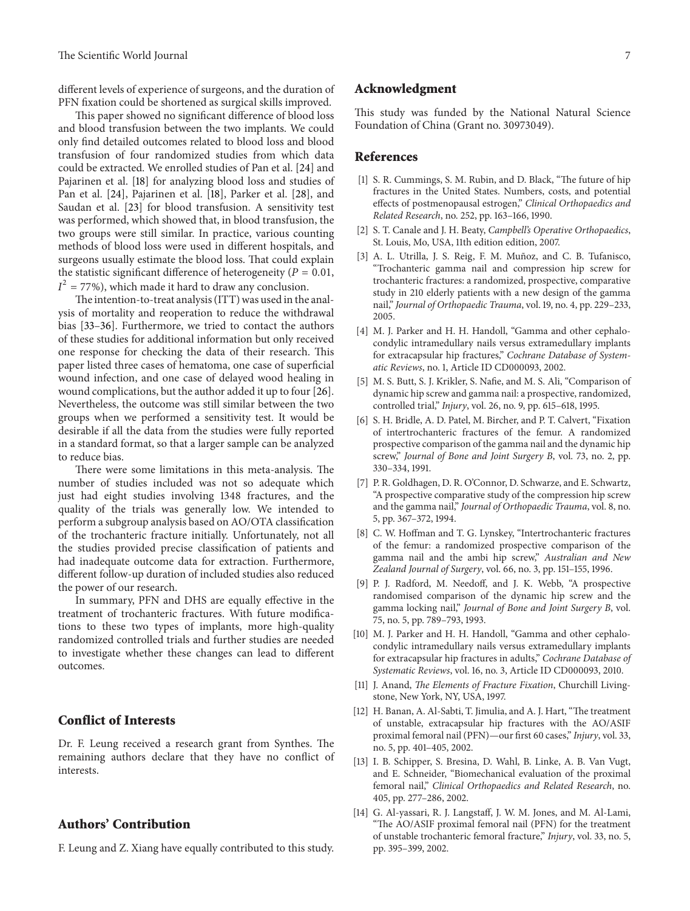different levels of experience of surgeons, and the duration of PFN fixation could be shortened as surgical skills improved.

This paper showed no significant difference of blood loss and blood transfusion between the two implants. We could only find detailed outcomes related to blood loss and blood transfusion of four randomized studies from which data could be extracted. We enrolled studies of Pan et al. [\[24](#page-7-13)] and Pajarinen et al. [\[18](#page-7-2)] for analyzing blood loss and studies of Pan et al. [\[24\]](#page-7-13), Pajarinen et al. [\[18](#page-7-2)], Parker et al. [\[28](#page-7-8)], and Saudan et al. [\[23\]](#page-7-12) for blood transfusion. A sensitivity test was performed, which showed that, in blood transfusion, the two groups were still similar. In practice, various counting methods of blood loss were used in different hospitals, and surgeons usually estimate the blood loss. That could explain the statistic significant difference of heterogeneity ( $P = 0.01$ ,  $I^2$  = 77%), which made it hard to draw any conclusion.

The intention-to-treat analysis (ITT) was used in the analysis of mortality and reoperation to reduce the withdrawal bias [\[33](#page-7-18)[–36\]](#page-7-19). Furthermore, we tried to contact the authors of these studies for additional information but only received one response for checking the data of their research. This paper listed three cases of hematoma, one case of superficial wound infection, and one case of delayed wood healing in wound complications, but the author added it up to four [\[26\]](#page-7-14). Nevertheless, the outcome was still similar between the two groups when we performed a sensitivity test. It would be desirable if all the data from the studies were fully reported in a standard format, so that a larger sample can be analyzed to reduce bias.

There were some limitations in this meta-analysis. The number of studies included was not so adequate which just had eight studies involving 1348 fractures, and the quality of the trials was generally low. We intended to perform a subgroup analysis based on AO/OTA classification of the trochanteric fracture initially. Unfortunately, not all the studies provided precise classification of patients and had inadequate outcome data for extraction. Furthermore, different follow-up duration of included studies also reduced the power of our research.

In summary, PFN and DHS are equally effective in the treatment of trochanteric fractures. With future modifications to these two types of implants, more high-quality randomized controlled trials and further studies are needed to investigate whether these changes can lead to different outcomes.

## **Conflict of Interests**

Dr. F. Leung received a research grant from Synthes. The remaining authors declare that they have no conflict of interests.

## **Authors' Contribution**

F. Leung and Z. Xiang have equally contributed to this study.

### **Acknowledgment**

This study was funded by the National Natural Science Foundation of China (Grant no. 30973049).

## <span id="page-6-0"></span>**References**

- <span id="page-6-1"></span>[1] S. R. Cummings, S. M. Rubin, and D. Black, "The future of hip fractures in the United States. Numbers, costs, and potential effects of postmenopausal estrogen," *Clinical Orthopaedics and Related Research*, no. 252, pp. 163–166, 1990.
- <span id="page-6-2"></span>[2] S. T. Canale and J. H. Beaty, *Campbell's Operative Orthopaedics*, St. Louis, Mo, USA, 11th edition edition, 2007.
- <span id="page-6-3"></span>[3] A. L. Utrilla, J. S. Reig, F. M. Muñoz, and C. B. Tufanisco, "Trochanteric gamma nail and compression hip screw for trochanteric fractures: a randomized, prospective, comparative study in 210 elderly patients with a new design of the gamma nail," *Journal of Orthopaedic Trauma*, vol. 19, no. 4, pp. 229–233, 2005.
- <span id="page-6-4"></span>[4] M. J. Parker and H. H. Handoll, "Gamma and other cephalocondylic intramedullary nails versus extramedullary implants for extracapsular hip fractures," *Cochrane Database of Systematic Reviews*, no. 1, Article ID CD000093, 2002.
- <span id="page-6-5"></span>[5] M. S. Butt, S. J. Krikler, S. Nafie, and M. S. Ali, "Comparison of dynamic hip screw and gamma nail: a prospective, randomized, controlled trial," *Injury*, vol. 26, no. 9, pp. 615–618, 1995.
- [6] S. H. Bridle, A. D. Patel, M. Bircher, and P. T. Calvert, "Fixation of intertrochanteric fractures of the femur. A randomized prospective comparison of the gamma nail and the dynamic hip screw," *Journal of Bone and Joint Surgery B*, vol. 73, no. 2, pp. 330–334, 1991.
- [7] P. R. Goldhagen, D. R. O'Connor, D. Schwarze, and E. Schwartz, "A prospective comparative study of the compression hip screw and the gamma nail," *Journal of Orthopaedic Trauma*, vol. 8, no. 5, pp. 367–372, 1994.
- [8] C. W. Hoffman and T. G. Lynskey, "Intertrochanteric fractures of the femur: a randomized prospective comparison of the gamma nail and the ambi hip screw," *Australian and New Zealand Journal of Surgery*, vol. 66, no. 3, pp. 151–155, 1996.
- [9] P. J. Radford, M. Needoff, and J. K. Webb, "A prospective randomised comparison of the dynamic hip screw and the gamma locking nail," *Journal of Bone and Joint Surgery B*, vol. 75, no. 5, pp. 789–793, 1993.
- <span id="page-6-6"></span>[10] M. J. Parker and H. H. Handoll, "Gamma and other cephalocondylic intramedullary nails versus extramedullary implants for extracapsular hip fractures in adults," *Cochrane Database of Systematic Reviews*, vol. 16, no. 3, Article ID CD000093, 2010.
- <span id="page-6-7"></span>[11] J. Anand, *The Elements of Fracture Fixation*, Churchill Livingstone, New York, NY, USA, 1997.
- <span id="page-6-8"></span>[12] H. Banan, A. Al-Sabti, T. Jimulia, and A. J. Hart, "The treatment" of unstable, extracapsular hip fractures with the AO/ASIF proximal femoral nail (PFN)—our first 60 cases," *Injury*, vol. 33, no. 5, pp. 401–405, 2002.
- [13] I. B. Schipper, S. Bresina, D. Wahl, B. Linke, A. B. Van Vugt, and E. Schneider, "Biomechanical evaluation of the proximal femoral nail," *Clinical Orthopaedics and Related Research*, no. 405, pp. 277–286, 2002.
- [14] G. Al-yassari, R. J. Langstaff, J. W. M. Jones, and M. Al-Lami, "The AO/ASIF proximal femoral nail (PFN) for the treatment of unstable trochanteric femoral fracture," *Injury*, vol. 33, no. 5, pp. 395–399, 2002.